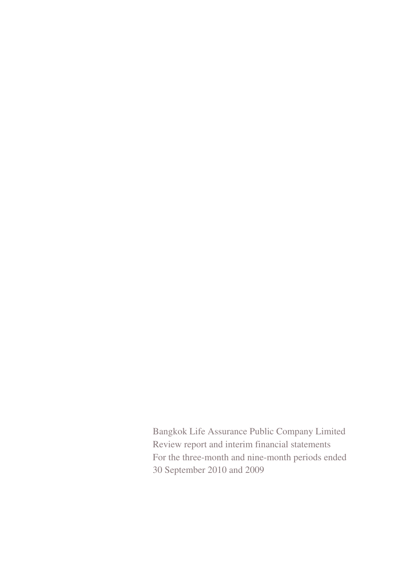Bangkok Life Assurance Public Company Limited Review report and interim financial statements For the three-month and nine-month periods ended 30 September 2010 and 2009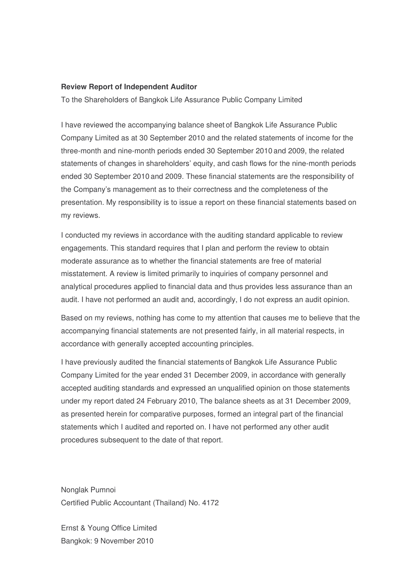#### **Review Report of Independent Auditor**

To the Shareholders of Bangkok Life Assurance Public Company Limited

I have reviewed the accompanying balance sheet of Bangkok Life Assurance Public Company Limited as at 30 September 2010 and the related statements of income for the three-month and nine-month periods ended 30 September 2010 and 2009, the related statements of changes in shareholders' equity, and cash flows for the nine-month periods ended 30 September 2010 and 2009. These financial statements are the responsibility of the Company's management as to their correctness and the completeness of the presentation. My responsibility is to issue a report on these financial statements based on my reviews.

I conducted my reviews in accordance with the auditing standard applicable to review engagements. This standard requires that I plan and perform the review to obtain moderate assurance as to whether the financial statements are free of material misstatement. A review is limited primarily to inquiries of company personnel and analytical procedures applied to financial data and thus provides less assurance than an audit. I have not performed an audit and, accordingly, I do not express an audit opinion.

Based on my reviews, nothing has come to my attention that causes me to believe that the accompanying financial statements are not presented fairly, in all material respects, in accordance with generally accepted accounting principles.

I have previously audited the financial statements of Bangkok Life Assurance Public Company Limited for the year ended 31 December 2009, in accordance with generally accepted auditing standards and expressed an unqualified opinion on those statements under my report dated 24 February 2010, The balance sheets as at 31 December 2009, as presented herein for comparative purposes, formed an integral part of the financial statements which I audited and reported on. I have not performed any other audit procedures subsequent to the date of that report.

Nonglak Pumnoi Certified Public Accountant (Thailand) No. 4172

Ernst & Young Office Limited Bangkok: 9 November 2010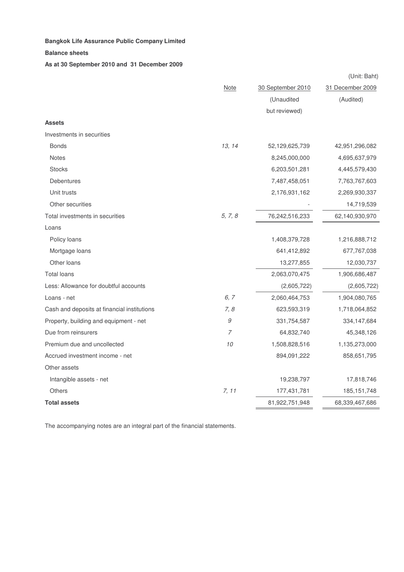#### **Bangkok Life Assurance Public Company Limited** - -  $\mathbf d$

#### **Balance sheets**

**As at 30 September 2010 and 31 December 2009**

|                                             |                |                   | (Unit: Baht)     |
|---------------------------------------------|----------------|-------------------|------------------|
|                                             | <b>Note</b>    | 30 September 2010 | 31 December 2009 |
|                                             |                | (Unaudited        | (Audited)        |
|                                             |                | but reviewed)     |                  |
| <b>Assets</b>                               |                |                   |                  |
| Investments in securities                   |                |                   |                  |
| <b>Bonds</b>                                | 13, 14         | 52,129,625,739    | 42,951,296,082   |
| <b>Notes</b>                                |                | 8,245,000,000     | 4,695,637,979    |
| <b>Stocks</b>                               |                | 6,203,501,281     | 4,445,579,430    |
| Debentures                                  |                | 7,487,458,051     | 7,763,767,603    |
| Unit trusts                                 |                | 2,176,931,162     | 2,269,930,337    |
| Other securities                            |                |                   | 14,719,539       |
| Total investments in securities             | 5, 7, 8        | 76,242,516,233    | 62,140,930,970   |
| Loans                                       |                |                   |                  |
| Policy loans                                |                | 1,408,379,728     | 1,216,888,712    |
| Mortgage loans                              |                | 641,412,892       | 677,767,038      |
| Other loans                                 |                | 13,277,855        | 12,030,737       |
| <b>Total loans</b>                          |                | 2,063,070,475     | 1,906,686,487    |
| Less: Allowance for doubtful accounts       |                | (2,605,722)       | (2,605,722)      |
| Loans - net                                 | 6, 7           | 2,060,464,753     | 1,904,080,765    |
| Cash and deposits at financial institutions | 7, 8           | 623,593,319       | 1,718,064,852    |
| Property, building and equipment - net      | 9              | 331,754,587       | 334,147,684      |
| Due from reinsurers                         | $\overline{7}$ | 64,832,740        | 45,348,126       |
| Premium due and uncollected                 | 10             | 1,508,828,516     | 1,135,273,000    |
| Accrued investment income - net             |                | 894,091,222       | 858,651,795      |
| Other assets                                |                |                   |                  |
| Intangible assets - net                     |                | 19,238,797        | 17,818,746       |
| <b>Others</b>                               | 7, 11          | 177,431,781       | 185, 151, 748    |
| <b>Total assets</b>                         |                | 81,922,751,948    | 68,339,467,686   |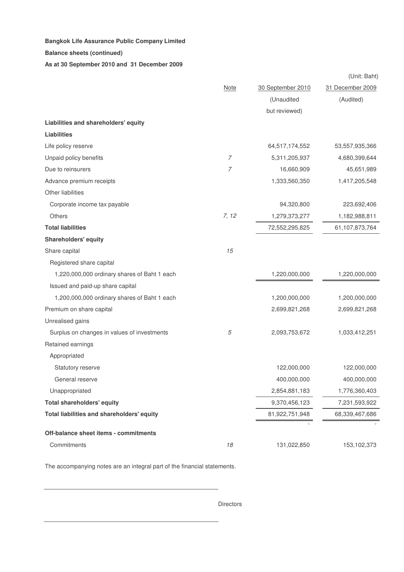#### **Balance sheets (continued)**

**As at 30 September 2010 and 31 December 2009**

|                                              |                  |                   | (Unit: Baht)     |
|----------------------------------------------|------------------|-------------------|------------------|
|                                              | <b>Note</b>      | 30 September 2010 | 31 December 2009 |
|                                              |                  | (Unaudited        | (Audited)        |
|                                              |                  | but reviewed)     |                  |
| Liabilities and shareholders' equity         |                  |                   |                  |
| <b>Liabilities</b>                           |                  |                   |                  |
| Life policy reserve                          |                  | 64,517,174,552    | 53,557,935,366   |
| Unpaid policy benefits                       | $\boldsymbol{7}$ | 5,311,205,937     | 4,680,399,644    |
| Due to reinsurers                            | 7                | 16,660,909        | 45,651,989       |
| Advance premium receipts                     |                  | 1,333,560,350     | 1,417,205,548    |
| Other liabilities                            |                  |                   |                  |
| Corporate income tax payable                 |                  | 94,320,800        | 223,692,406      |
| Others                                       | 7, 12            | 1,279,373,277     | 1,182,988,811    |
| <b>Total liabilities</b>                     |                  | 72,552,295,825    | 61,107,873,764   |
| <b>Shareholders' equity</b>                  |                  |                   |                  |
| Share capital                                | 15               |                   |                  |
| Registered share capital                     |                  |                   |                  |
| 1,220,000,000 ordinary shares of Baht 1 each |                  | 1,220,000,000     | 1,220,000,000    |
| Issued and paid-up share capital             |                  |                   |                  |
| 1,200,000,000 ordinary shares of Baht 1 each |                  | 1,200,000,000     | 1,200,000,000    |
| Premium on share capital                     |                  | 2,699,821,268     | 2,699,821,268    |
| Unrealised gains                             |                  |                   |                  |
| Surplus on changes in values of investments  | 5                | 2,093,753,672     | 1,033,412,251    |
| Retained earnings                            |                  |                   |                  |
| Appropriated                                 |                  |                   |                  |
| Statutory reserve                            |                  | 122,000,000       | 122,000,000      |
| General reserve                              |                  | 400,000,000       | 400,000,000      |
| Unappropriated                               |                  | 2,854,881,183     | 1,776,360,403    |
| <b>Total shareholders' equity</b>            |                  | 9,370,456,123     | 7,231,593,922    |
| Total liabilities and shareholders' equity   |                  | 81,922,751,948    | 68,339,467,686   |
|                                              |                  |                   |                  |
| Off-balance sheet items - commitments        |                  |                   |                  |
| Commitments                                  | 18               | 131,022,850       | 153,102,373      |

The accompanying notes are an integral part of the financial statements.

Directors

. . . . . . . . . . . . . . . . . . .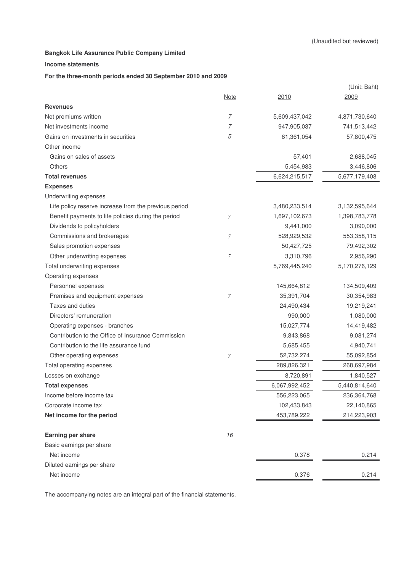#### **Income statements**

#### **For the three-month periods ended 30 September 2010 and 2009**

| <b>Note</b><br>2010<br>2009<br><b>Revenues</b><br>$\overline{7}$<br>Net premiums written<br>5,609,437,042<br>4,871,730,640<br>7<br>947,905,037<br>Net investments income<br>741,513,442<br>5<br>Gains on investments in securities<br>61,361,054<br>57,800,475<br>Other income<br>Gains on sales of assets<br>57,401<br>2,688,045<br>Others<br>5,454,983<br>3,446,806<br>6,624,215,517<br><b>Total revenues</b><br>5,677,179,408<br><b>Expenses</b><br>Underwriting expenses<br>Life policy reserve increase from the previous period<br>3,480,233,514<br>3,132,595,644<br>Benefit payments to life policies during the period<br>1,697,102,673<br>1,398,783,778<br>7<br>Dividends to policyholders<br>9,441,000<br>3,090,000<br>Commissions and brokerages<br>$\overline{7}$<br>528,929,532<br>553,358,115<br>Sales promotion expenses<br>50,427,725<br>79,492,302<br>Other underwriting expenses<br>7<br>3,310,796<br>2,956,290<br>Total underwriting expenses<br>5,769,445,240<br>5,170,276,129<br>Operating expenses<br>Personnel expenses<br>145,664,812<br>134,509,409<br>35,391,704<br>30,354,983<br>Premises and equipment expenses<br>7<br>Taxes and duties<br>24,490,434<br>19,219,241<br>Directors' remuneration<br>990,000<br>1,080,000<br>Operating expenses - branches<br>15,027,774<br>14,419,482<br>Contribution to the Office of Insurance Commission<br>9,843,868<br>9,081,274<br>Contribution to the life assurance fund<br>5,685,455<br>4,940,741<br>Other operating expenses<br>52,732,274<br>55,092,854<br>7<br>Total operating expenses<br>289,826,321<br>268,697,984<br>Losses on exchange<br>8,720,891<br>1,840,527<br>6,067,992,452<br>5,440,814,640<br><b>Total expenses</b><br>Income before income tax<br>556,223,065<br>236,364,768<br>Corporate income tax<br>102,433,843<br>22,140,865<br>Net income for the period<br>453,789,222<br>214,223,903<br>16<br>Earning per share<br>Basic earnings per share<br>Net income<br>0.378<br>0.214<br>Diluted earnings per share |            |       | (Unit: Baht) |
|--------------------------------------------------------------------------------------------------------------------------------------------------------------------------------------------------------------------------------------------------------------------------------------------------------------------------------------------------------------------------------------------------------------------------------------------------------------------------------------------------------------------------------------------------------------------------------------------------------------------------------------------------------------------------------------------------------------------------------------------------------------------------------------------------------------------------------------------------------------------------------------------------------------------------------------------------------------------------------------------------------------------------------------------------------------------------------------------------------------------------------------------------------------------------------------------------------------------------------------------------------------------------------------------------------------------------------------------------------------------------------------------------------------------------------------------------------------------------------------------------------------------------------------------------------------------------------------------------------------------------------------------------------------------------------------------------------------------------------------------------------------------------------------------------------------------------------------------------------------------------------------------------------------------------------------------------------------------------------------------------------|------------|-------|--------------|
|                                                                                                                                                                                                                                                                                                                                                                                                                                                                                                                                                                                                                                                                                                                                                                                                                                                                                                                                                                                                                                                                                                                                                                                                                                                                                                                                                                                                                                                                                                                                                                                                                                                                                                                                                                                                                                                                                                                                                                                                        |            |       |              |
|                                                                                                                                                                                                                                                                                                                                                                                                                                                                                                                                                                                                                                                                                                                                                                                                                                                                                                                                                                                                                                                                                                                                                                                                                                                                                                                                                                                                                                                                                                                                                                                                                                                                                                                                                                                                                                                                                                                                                                                                        |            |       |              |
|                                                                                                                                                                                                                                                                                                                                                                                                                                                                                                                                                                                                                                                                                                                                                                                                                                                                                                                                                                                                                                                                                                                                                                                                                                                                                                                                                                                                                                                                                                                                                                                                                                                                                                                                                                                                                                                                                                                                                                                                        |            |       |              |
|                                                                                                                                                                                                                                                                                                                                                                                                                                                                                                                                                                                                                                                                                                                                                                                                                                                                                                                                                                                                                                                                                                                                                                                                                                                                                                                                                                                                                                                                                                                                                                                                                                                                                                                                                                                                                                                                                                                                                                                                        |            |       |              |
|                                                                                                                                                                                                                                                                                                                                                                                                                                                                                                                                                                                                                                                                                                                                                                                                                                                                                                                                                                                                                                                                                                                                                                                                                                                                                                                                                                                                                                                                                                                                                                                                                                                                                                                                                                                                                                                                                                                                                                                                        |            |       |              |
|                                                                                                                                                                                                                                                                                                                                                                                                                                                                                                                                                                                                                                                                                                                                                                                                                                                                                                                                                                                                                                                                                                                                                                                                                                                                                                                                                                                                                                                                                                                                                                                                                                                                                                                                                                                                                                                                                                                                                                                                        |            |       |              |
|                                                                                                                                                                                                                                                                                                                                                                                                                                                                                                                                                                                                                                                                                                                                                                                                                                                                                                                                                                                                                                                                                                                                                                                                                                                                                                                                                                                                                                                                                                                                                                                                                                                                                                                                                                                                                                                                                                                                                                                                        |            |       |              |
|                                                                                                                                                                                                                                                                                                                                                                                                                                                                                                                                                                                                                                                                                                                                                                                                                                                                                                                                                                                                                                                                                                                                                                                                                                                                                                                                                                                                                                                                                                                                                                                                                                                                                                                                                                                                                                                                                                                                                                                                        |            |       |              |
|                                                                                                                                                                                                                                                                                                                                                                                                                                                                                                                                                                                                                                                                                                                                                                                                                                                                                                                                                                                                                                                                                                                                                                                                                                                                                                                                                                                                                                                                                                                                                                                                                                                                                                                                                                                                                                                                                                                                                                                                        |            |       |              |
|                                                                                                                                                                                                                                                                                                                                                                                                                                                                                                                                                                                                                                                                                                                                                                                                                                                                                                                                                                                                                                                                                                                                                                                                                                                                                                                                                                                                                                                                                                                                                                                                                                                                                                                                                                                                                                                                                                                                                                                                        |            |       |              |
|                                                                                                                                                                                                                                                                                                                                                                                                                                                                                                                                                                                                                                                                                                                                                                                                                                                                                                                                                                                                                                                                                                                                                                                                                                                                                                                                                                                                                                                                                                                                                                                                                                                                                                                                                                                                                                                                                                                                                                                                        |            |       |              |
|                                                                                                                                                                                                                                                                                                                                                                                                                                                                                                                                                                                                                                                                                                                                                                                                                                                                                                                                                                                                                                                                                                                                                                                                                                                                                                                                                                                                                                                                                                                                                                                                                                                                                                                                                                                                                                                                                                                                                                                                        |            |       |              |
|                                                                                                                                                                                                                                                                                                                                                                                                                                                                                                                                                                                                                                                                                                                                                                                                                                                                                                                                                                                                                                                                                                                                                                                                                                                                                                                                                                                                                                                                                                                                                                                                                                                                                                                                                                                                                                                                                                                                                                                                        |            |       |              |
|                                                                                                                                                                                                                                                                                                                                                                                                                                                                                                                                                                                                                                                                                                                                                                                                                                                                                                                                                                                                                                                                                                                                                                                                                                                                                                                                                                                                                                                                                                                                                                                                                                                                                                                                                                                                                                                                                                                                                                                                        |            |       |              |
|                                                                                                                                                                                                                                                                                                                                                                                                                                                                                                                                                                                                                                                                                                                                                                                                                                                                                                                                                                                                                                                                                                                                                                                                                                                                                                                                                                                                                                                                                                                                                                                                                                                                                                                                                                                                                                                                                                                                                                                                        |            |       |              |
|                                                                                                                                                                                                                                                                                                                                                                                                                                                                                                                                                                                                                                                                                                                                                                                                                                                                                                                                                                                                                                                                                                                                                                                                                                                                                                                                                                                                                                                                                                                                                                                                                                                                                                                                                                                                                                                                                                                                                                                                        |            |       |              |
|                                                                                                                                                                                                                                                                                                                                                                                                                                                                                                                                                                                                                                                                                                                                                                                                                                                                                                                                                                                                                                                                                                                                                                                                                                                                                                                                                                                                                                                                                                                                                                                                                                                                                                                                                                                                                                                                                                                                                                                                        |            |       |              |
|                                                                                                                                                                                                                                                                                                                                                                                                                                                                                                                                                                                                                                                                                                                                                                                                                                                                                                                                                                                                                                                                                                                                                                                                                                                                                                                                                                                                                                                                                                                                                                                                                                                                                                                                                                                                                                                                                                                                                                                                        |            |       |              |
|                                                                                                                                                                                                                                                                                                                                                                                                                                                                                                                                                                                                                                                                                                                                                                                                                                                                                                                                                                                                                                                                                                                                                                                                                                                                                                                                                                                                                                                                                                                                                                                                                                                                                                                                                                                                                                                                                                                                                                                                        |            |       |              |
|                                                                                                                                                                                                                                                                                                                                                                                                                                                                                                                                                                                                                                                                                                                                                                                                                                                                                                                                                                                                                                                                                                                                                                                                                                                                                                                                                                                                                                                                                                                                                                                                                                                                                                                                                                                                                                                                                                                                                                                                        |            |       |              |
|                                                                                                                                                                                                                                                                                                                                                                                                                                                                                                                                                                                                                                                                                                                                                                                                                                                                                                                                                                                                                                                                                                                                                                                                                                                                                                                                                                                                                                                                                                                                                                                                                                                                                                                                                                                                                                                                                                                                                                                                        |            |       |              |
|                                                                                                                                                                                                                                                                                                                                                                                                                                                                                                                                                                                                                                                                                                                                                                                                                                                                                                                                                                                                                                                                                                                                                                                                                                                                                                                                                                                                                                                                                                                                                                                                                                                                                                                                                                                                                                                                                                                                                                                                        |            |       |              |
|                                                                                                                                                                                                                                                                                                                                                                                                                                                                                                                                                                                                                                                                                                                                                                                                                                                                                                                                                                                                                                                                                                                                                                                                                                                                                                                                                                                                                                                                                                                                                                                                                                                                                                                                                                                                                                                                                                                                                                                                        |            |       |              |
|                                                                                                                                                                                                                                                                                                                                                                                                                                                                                                                                                                                                                                                                                                                                                                                                                                                                                                                                                                                                                                                                                                                                                                                                                                                                                                                                                                                                                                                                                                                                                                                                                                                                                                                                                                                                                                                                                                                                                                                                        |            |       |              |
|                                                                                                                                                                                                                                                                                                                                                                                                                                                                                                                                                                                                                                                                                                                                                                                                                                                                                                                                                                                                                                                                                                                                                                                                                                                                                                                                                                                                                                                                                                                                                                                                                                                                                                                                                                                                                                                                                                                                                                                                        |            |       |              |
|                                                                                                                                                                                                                                                                                                                                                                                                                                                                                                                                                                                                                                                                                                                                                                                                                                                                                                                                                                                                                                                                                                                                                                                                                                                                                                                                                                                                                                                                                                                                                                                                                                                                                                                                                                                                                                                                                                                                                                                                        |            |       |              |
|                                                                                                                                                                                                                                                                                                                                                                                                                                                                                                                                                                                                                                                                                                                                                                                                                                                                                                                                                                                                                                                                                                                                                                                                                                                                                                                                                                                                                                                                                                                                                                                                                                                                                                                                                                                                                                                                                                                                                                                                        |            |       |              |
|                                                                                                                                                                                                                                                                                                                                                                                                                                                                                                                                                                                                                                                                                                                                                                                                                                                                                                                                                                                                                                                                                                                                                                                                                                                                                                                                                                                                                                                                                                                                                                                                                                                                                                                                                                                                                                                                                                                                                                                                        |            |       |              |
|                                                                                                                                                                                                                                                                                                                                                                                                                                                                                                                                                                                                                                                                                                                                                                                                                                                                                                                                                                                                                                                                                                                                                                                                                                                                                                                                                                                                                                                                                                                                                                                                                                                                                                                                                                                                                                                                                                                                                                                                        |            |       |              |
|                                                                                                                                                                                                                                                                                                                                                                                                                                                                                                                                                                                                                                                                                                                                                                                                                                                                                                                                                                                                                                                                                                                                                                                                                                                                                                                                                                                                                                                                                                                                                                                                                                                                                                                                                                                                                                                                                                                                                                                                        |            |       |              |
|                                                                                                                                                                                                                                                                                                                                                                                                                                                                                                                                                                                                                                                                                                                                                                                                                                                                                                                                                                                                                                                                                                                                                                                                                                                                                                                                                                                                                                                                                                                                                                                                                                                                                                                                                                                                                                                                                                                                                                                                        |            |       |              |
|                                                                                                                                                                                                                                                                                                                                                                                                                                                                                                                                                                                                                                                                                                                                                                                                                                                                                                                                                                                                                                                                                                                                                                                                                                                                                                                                                                                                                                                                                                                                                                                                                                                                                                                                                                                                                                                                                                                                                                                                        |            |       |              |
|                                                                                                                                                                                                                                                                                                                                                                                                                                                                                                                                                                                                                                                                                                                                                                                                                                                                                                                                                                                                                                                                                                                                                                                                                                                                                                                                                                                                                                                                                                                                                                                                                                                                                                                                                                                                                                                                                                                                                                                                        |            |       |              |
|                                                                                                                                                                                                                                                                                                                                                                                                                                                                                                                                                                                                                                                                                                                                                                                                                                                                                                                                                                                                                                                                                                                                                                                                                                                                                                                                                                                                                                                                                                                                                                                                                                                                                                                                                                                                                                                                                                                                                                                                        |            |       |              |
|                                                                                                                                                                                                                                                                                                                                                                                                                                                                                                                                                                                                                                                                                                                                                                                                                                                                                                                                                                                                                                                                                                                                                                                                                                                                                                                                                                                                                                                                                                                                                                                                                                                                                                                                                                                                                                                                                                                                                                                                        |            |       |              |
|                                                                                                                                                                                                                                                                                                                                                                                                                                                                                                                                                                                                                                                                                                                                                                                                                                                                                                                                                                                                                                                                                                                                                                                                                                                                                                                                                                                                                                                                                                                                                                                                                                                                                                                                                                                                                                                                                                                                                                                                        |            |       |              |
|                                                                                                                                                                                                                                                                                                                                                                                                                                                                                                                                                                                                                                                                                                                                                                                                                                                                                                                                                                                                                                                                                                                                                                                                                                                                                                                                                                                                                                                                                                                                                                                                                                                                                                                                                                                                                                                                                                                                                                                                        |            |       |              |
|                                                                                                                                                                                                                                                                                                                                                                                                                                                                                                                                                                                                                                                                                                                                                                                                                                                                                                                                                                                                                                                                                                                                                                                                                                                                                                                                                                                                                                                                                                                                                                                                                                                                                                                                                                                                                                                                                                                                                                                                        | Net income | 0.376 | 0.214        |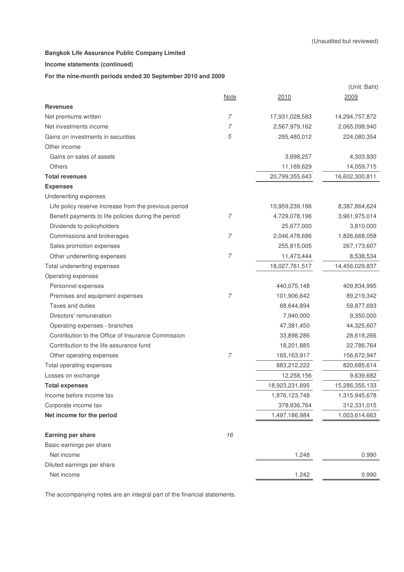#### **Income statements (continued)**

#### **For the nine-month periods ended 30 September 2010 and 2009**

|                                                       |                |                | (Unit: Baht)   |
|-------------------------------------------------------|----------------|----------------|----------------|
|                                                       | <b>Note</b>    | 2010           | 2009           |
| <b>Revenues</b>                                       |                |                |                |
| Net premiums written                                  | $\overline{7}$ | 17,931,028,583 | 14,294,757,872 |
| Net investments income                                | 7              | 2,567,979,162  | 2,065,098,940  |
| Gains on investments in securities                    | 5              | 285,480,012    | 224,080,354    |
| Other income                                          |                |                |                |
| Gains on sales of assets                              |                | 3,698,257      | 4,303,930      |
| <b>Others</b>                                         |                | 11,169,629     | 14,059,715     |
| <b>Total revenues</b>                                 |                | 20,799,355,643 | 16,602,300,811 |
| <b>Expenses</b>                                       |                |                |                |
| Underwriting expenses                                 |                |                |                |
| Life policy reserve increase from the previous period |                | 10,959,239,186 | 8,387,864,624  |
| Benefit payments to life policies during the period   | 7              | 4,729,078,196  | 3,961,975,014  |
| Dividends to policyholders                            |                | 25,677,000     | 3,810,000      |
| Commissions and brokerages                            | 7              | 2,046,478,686  | 1,826,668,058  |
| Sales promotion expenses                              |                | 255,815,005    | 267,173,607    |
| Other underwriting expenses                           | 7              | 11,473,444     | 8,538,534      |
| Total underwriting expenses                           |                | 18,027,761,517 | 14,456,029,837 |
| Operating expenses                                    |                |                |                |
| Personnel expenses                                    |                | 440,075,148    | 409,834,995    |
| Premises and equipment expenses                       | 7              | 101,906,642    | 89,219,342     |
| Taxes and duties                                      |                | 68,644,894     | 59,877,693     |
| Directors' remuneration                               |                | 7,940,000      | 9,350,000      |
| Operating expenses - branches                         |                | 47,381,450     | 44,325,607     |
| Contribution to the Office of Insurance Commission    |                | 33,898,286     | 28,618,266     |
| Contribution to the life assurance fund               |                | 18,201,885     | 22,786,764     |
| Other operating expenses                              | 7              | 165, 163, 917  | 156,672,947    |
| Total operating expenses                              |                | 883,212,222    | 820,685,614    |
| Losses on exchange                                    |                | 12,258,156     | 9,639,682      |
| <b>Total expenses</b>                                 |                | 18,923,231,895 | 15,286,355,133 |
| Income before income tax                              |                | 1,876,123,748  | 1,315,945,678  |
| Corporate income tax                                  |                | 378,936,764    | 312,331,015    |
| Net income for the period                             |                | 1,497,186,984  | 1,003,614,663  |
| Earning per share                                     | 16             |                |                |
| Basic earnings per share                              |                |                |                |
| Net income                                            |                | 1.248          | 0.990          |
| Diluted earnings per share                            |                |                |                |
| Net income                                            |                | 1.242          | 0.990          |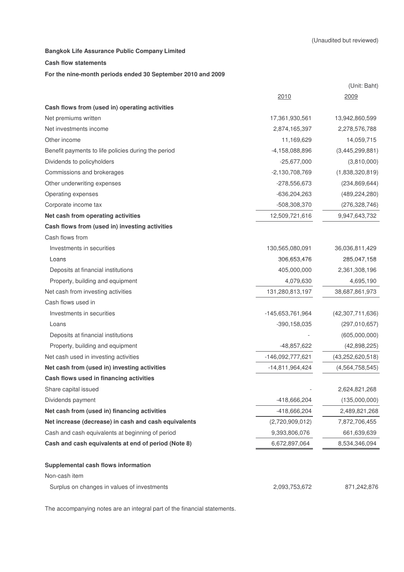#### **Cash flow statements**

#### **For the nine-month periods ended 30 September 2010 and 2009**

|                                                      |                   | (Unit: Baht)        |
|------------------------------------------------------|-------------------|---------------------|
|                                                      | 2010              | 2009                |
| Cash flows from (used in) operating activities       |                   |                     |
| Net premiums written                                 | 17,361,930,561    | 13,942,860,599      |
| Net investments income                               | 2,874,165,397     | 2,278,576,788       |
| Other income                                         | 11,169,629        | 14,059,715          |
| Benefit payments to life policies during the period  | -4,158,088,896    | (3,445,299,881)     |
| Dividends to policyholders                           | $-25,677,000$     | (3,810,000)         |
| Commissions and brokerages                           | $-2,130,708,769$  | (1,838,320,819)     |
| Other underwriting expenses                          | -278,556,673      | (234, 869, 644)     |
| Operating expenses                                   | $-636,204,263$    | (489, 224, 280)     |
| Corporate income tax                                 | -508,308,370      | (276, 328, 746)     |
| Net cash from operating activities                   | 12,509,721,616    | 9,947,643,732       |
| Cash flows from (used in) investing activities       |                   |                     |
| Cash flows from                                      |                   |                     |
| Investments in securities                            | 130,565,080,091   | 36,036,811,429      |
| Loans                                                | 306,653,476       | 285,047,158         |
| Deposits at financial institutions                   | 405,000,000       | 2,361,308,196       |
| Property, building and equipment                     | 4,079,630         | 4,695,190           |
| Net cash from investing activities                   | 131,280,813,197   | 38,687,861,973      |
| Cash flows used in                                   |                   |                     |
| Investments in securities                            | -145,653,761,964  | (42,307,711,636)    |
| Loans                                                | $-390, 158, 035$  | (297,010,657)       |
| Deposits at financial institutions                   |                   | (605,000,000)       |
| Property, building and equipment                     | -48,857,622       | (42,898,225)        |
| Net cash used in investing activities                | -146,092,777,621  | (43, 252, 620, 518) |
| Net cash from (used in) investing activities         | $-14,811,964,424$ | (4, 564, 758, 545)  |
| Cash flows used in financing activities              |                   |                     |
| Share capital issued                                 |                   | 2,624,821,268       |
| Dividends payment                                    | -418,666,204      | (135,000,000)       |
| Net cash from (used in) financing activities         | -418,666,204      | 2,489,821,268       |
| Net increase (decrease) in cash and cash equivalents | (2,720,909,012)   | 7,872,706,455       |
| Cash and cash equivalents at beginning of period     | 9,393,806,076     | 661,639,639         |
| Cash and cash equivalents at end of period (Note 8)  | 6,672,897,064     | 8,534,346,094       |
| Supplemental cash flows information                  |                   |                     |
| Non-cash item                                        |                   |                     |
| Surplus on changes in values of investments          | 2,093,753,672     | 871,242,876         |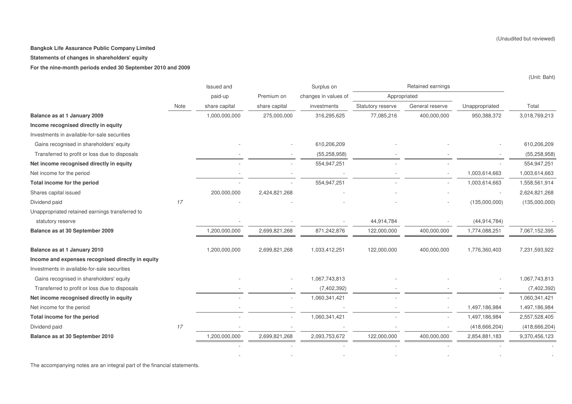**Statements of changes in shareholders' equity**

**For the nine-month periods ended 30 September 2010 and 2009**

|                                                   |      | Issued and    |               | Surplus on           |                   | Retained earnings |                 |                 |
|---------------------------------------------------|------|---------------|---------------|----------------------|-------------------|-------------------|-----------------|-----------------|
|                                                   |      | paid-up       | Premium on    | changes in values of | Appropriated      |                   |                 |                 |
|                                                   | Note | share capital | share capital | investments          | Statutory reserve | General reserve   | Unappropriated  | Total           |
| Balance as at 1 January 2009                      |      | 1,000,000,000 | 275,000,000   | 316,295,625          | 77,085,216        | 400,000,000       | 950,388,372     | 3,018,769,213   |
| Income recognised directly in equity              |      |               |               |                      |                   |                   |                 |                 |
| Investments in available-for-sale securities      |      |               |               |                      |                   |                   |                 |                 |
| Gains recognised in shareholders' equity          |      |               |               | 610,206,209          |                   |                   |                 | 610,206,209     |
| Transferred to profit or loss due to disposals    |      |               |               | (55, 258, 958)       |                   |                   |                 | (55, 258, 958)  |
| Net income recognised directly in equity          |      |               |               | 554,947,251          |                   |                   |                 | 554,947,251     |
| Net income for the period                         |      |               |               |                      |                   |                   | 1,003,614,663   | 1,003,614,663   |
| Total income for the period                       |      |               |               | 554,947,251          |                   |                   | 1,003,614,663   | 1,558,561,914   |
| Shares capital issued                             |      | 200,000,000   | 2,424,821,268 |                      |                   |                   |                 | 2,624,821,268   |
| Dividend paid                                     | 17   |               |               |                      |                   |                   | (135,000,000)   | (135,000,000)   |
| Unappropriated retained earnings transferred to   |      |               |               |                      |                   |                   |                 |                 |
| statutory reserve                                 |      |               |               |                      | 44,914,784        |                   | (44, 914, 784)  |                 |
| Balance as at 30 September 2009                   |      | 1,200,000,000 | 2,699,821,268 | 871,242,876          | 122,000,000       | 400,000,000       | 1,774,088,251   | 7,067,152,395   |
| Balance as at 1 January 2010                      |      | 1,200,000,000 | 2,699,821,268 | 1,033,412,251        | 122,000,000       | 400,000,000       | 1,776,360,403   | 7,231,593,922   |
| Income and expenses recognised directly in equity |      |               |               |                      |                   |                   |                 |                 |
| Investments in available-for-sale securities      |      |               |               |                      |                   |                   |                 |                 |
| Gains recognised in shareholders' equity          |      |               |               | 1,067,743,813        |                   |                   |                 | 1,067,743,813   |
| Transferred to profit or loss due to disposals    |      |               |               | (7,402,392)          |                   |                   |                 | (7,402,392)     |
| Net income recognised directly in equity          |      |               |               | 1,060,341,421        |                   |                   |                 | 1,060,341,421   |
| Net income for the period                         |      |               |               |                      |                   |                   | 1,497,186,984   | 1,497,186,984   |
| Total income for the period                       |      |               |               | 1,060,341,421        |                   |                   | 1,497,186,984   | 2,557,528,405   |
| Dividend paid                                     | 17   |               |               |                      |                   |                   | (418, 666, 204) | (418, 666, 204) |
| Balance as at 30 September 2010                   |      | 1,200,000,000 | 2,699,821,268 | 2,093,753,672        | 122,000,000       | 400,000,000       | 2,854,881,183   | 9,370,456,123   |
|                                                   |      |               |               |                      |                   |                   |                 |                 |

- - - - - -

The accompanying notes are an integral part of the financial statements.

(Unit: Baht)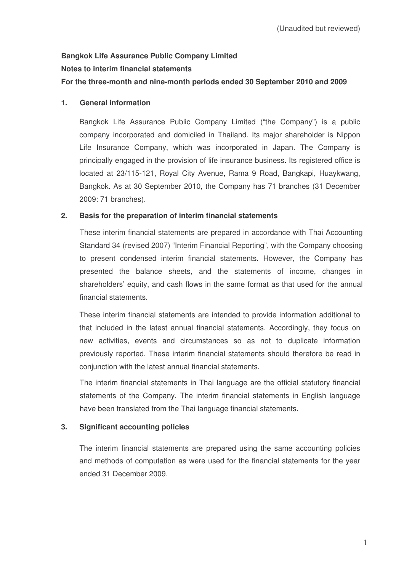# **Bangkok Life Assurance Public Company Limited Notes to interim financial statements**

# **For the three-month and nine-month periods ended 30 September 2010 and 2009**

# **1. General information**

Bangkok Life Assurance Public Company Limited ("the Company") is a public company incorporated and domiciled in Thailand. Its major shareholder is Nippon Life Insurance Company, which was incorporated in Japan. The Company is principally engaged in the provision of life insurance business. Its registered office is located at 23/115-121, Royal City Avenue, Rama 9 Road, Bangkapi, Huaykwang, Bangkok. As at 30 September 2010, the Company has 71 branches (31 December 2009: 71 branches).

# **2. Basis for the preparation of interim financial statements**

These interim financial statements are prepared in accordance with Thai Accounting Standard 34 (revised 2007) "Interim Financial Reporting", with the Company choosing to present condensed interim financial statements. However, the Company has presented the balance sheets, and the statements of income, changes in shareholders' equity, and cash flows in the same format as that used for the annual financial statements.

These interim financial statements are intended to provide information additional to that included in the latest annual financial statements. Accordingly, they focus on new activities, events and circumstances so as not to duplicate information previously reported. These interim financial statements should therefore be read in conjunction with the latest annual financial statements.

The interim financial statements in Thai language are the official statutory financial statements of the Company. The interim financial statements in English language have been translated from the Thai language financial statements.

# **3. Significant accounting policies**

The interim financial statements are prepared using the same accounting policies and methods of computation as were used for the financial statements for the year ended 31 December 2009.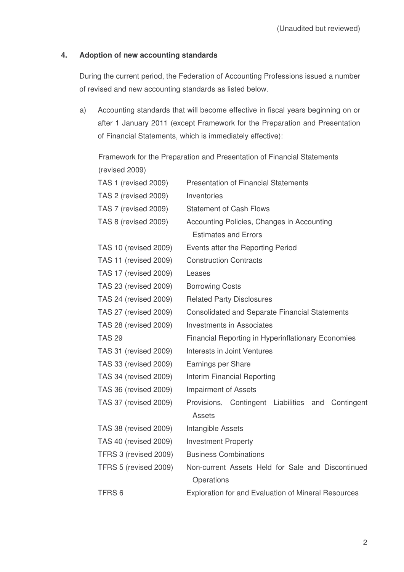# **4. Adoption of new accounting standards**

During the current period, the Federation of Accounting Professions issued a number of revised and new accounting standards as listed below.

a) Accounting standards that will become effective in fiscal years beginning on or after 1 January 2011 (except Framework for the Preparation and Presentation of Financial Statements, which is immediately effective):

|                              | Framework for the Preparation and Presentation of Financial Statements |  |  |  |  |
|------------------------------|------------------------------------------------------------------------|--|--|--|--|
| (revised 2009)               |                                                                        |  |  |  |  |
| TAS 1 (revised 2009)         | <b>Presentation of Financial Statements</b>                            |  |  |  |  |
| TAS 2 (revised 2009)         | Inventories                                                            |  |  |  |  |
| TAS 7 (revised 2009)         | <b>Statement of Cash Flows</b>                                         |  |  |  |  |
| TAS 8 (revised 2009)         | Accounting Policies, Changes in Accounting                             |  |  |  |  |
|                              | <b>Estimates and Errors</b>                                            |  |  |  |  |
| <b>TAS 10 (revised 2009)</b> | Events after the Reporting Period                                      |  |  |  |  |
| <b>TAS 11 (revised 2009)</b> | <b>Construction Contracts</b>                                          |  |  |  |  |
| TAS 17 (revised 2009)        | Leases                                                                 |  |  |  |  |
| TAS 23 (revised 2009)        | <b>Borrowing Costs</b>                                                 |  |  |  |  |
| <b>TAS 24 (revised 2009)</b> | <b>Related Party Disclosures</b>                                       |  |  |  |  |
| TAS 27 (revised 2009)        | <b>Consolidated and Separate Financial Statements</b>                  |  |  |  |  |
| TAS 28 (revised 2009)        | <b>Investments in Associates</b>                                       |  |  |  |  |
| <b>TAS 29</b>                | <b>Financial Reporting in Hyperinflationary Economies</b>              |  |  |  |  |
| TAS 31 (revised 2009)        | Interests in Joint Ventures                                            |  |  |  |  |
| TAS 33 (revised 2009)        | Earnings per Share                                                     |  |  |  |  |
| TAS 34 (revised 2009)        | Interim Financial Reporting                                            |  |  |  |  |
| TAS 36 (revised 2009)        | <b>Impairment of Assets</b>                                            |  |  |  |  |
| TAS 37 (revised 2009)        | Provisions, Contingent Liabilities<br>Contingent<br>and                |  |  |  |  |
|                              | <b>Assets</b>                                                          |  |  |  |  |
| TAS 38 (revised 2009)        | Intangible Assets                                                      |  |  |  |  |
| TAS 40 (revised 2009)        | <b>Investment Property</b>                                             |  |  |  |  |
| TFRS 3 (revised 2009)        | <b>Business Combinations</b>                                           |  |  |  |  |
| TFRS 5 (revised 2009)        | Non-current Assets Held for Sale and Discontinued                      |  |  |  |  |
|                              | Operations                                                             |  |  |  |  |
| TFRS <sub>6</sub>            | <b>Exploration for and Evaluation of Mineral Resources</b>             |  |  |  |  |
|                              |                                                                        |  |  |  |  |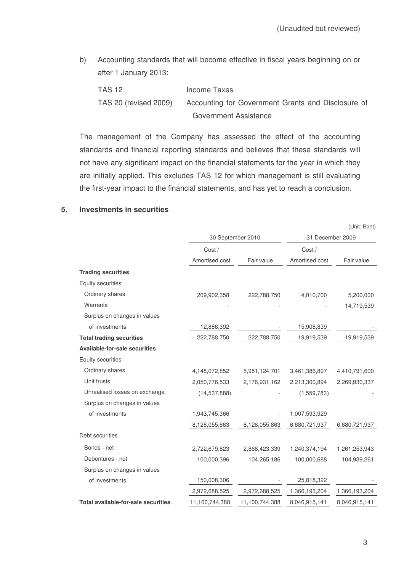b) Accounting standards that will become effective in fiscal years beginning on or after 1 January 2013:

TAS 12 Income Taxes TAS 20 (revised 2009) Accounting for Government Grants and Disclosure of Government Assistance

The management of the Company has assessed the effect of the accounting standards and financial reporting standards and believes that these standards will not have any significant impact on the financial statements for the year in which they are initially applied. This excludes TAS 12 for which management is still evaluating the first-year impact to the financial statements, and has yet to reach a conclusion.

#### **5 Investments in securities**

|                                            |                   |                |                  | (Unit: Baht)  |  |
|--------------------------------------------|-------------------|----------------|------------------|---------------|--|
|                                            | 30 September 2010 |                | 31 December 2009 |               |  |
|                                            | Cost /            |                | Cost /           |               |  |
|                                            | Amortised cost    | Fair value     | Amortised cost   | Fair value    |  |
| <b>Trading securities</b>                  |                   |                |                  |               |  |
| Equity securities                          |                   |                |                  |               |  |
| Ordinary shares                            | 209,902,358       | 222,788,750    | 4,010,700        | 5,200,000     |  |
| Warrants                                   |                   |                |                  | 14,719,539    |  |
| Surplus on changes in values               |                   |                |                  |               |  |
| of investments                             | 12,886,392        |                | 15,908,839       |               |  |
| <b>Total trading securities</b>            | 222,788,750       | 222,788,750    | 19,919,539       | 19,919,539    |  |
| <b>Available-for-sale securities</b>       |                   |                |                  |               |  |
| Equity securities                          |                   |                |                  |               |  |
| Ordinary shares                            | 4,148,072,852     | 5,951,124,701  | 3,461,386,897    | 4,410,791,600 |  |
| Unit trusts                                | 2,050,776,533     | 2,176,931,162  | 2,213,300,894    | 2,269,930,337 |  |
| Unrealised losses on exchange              | (14, 537, 888)    |                | (1,559,783)      |               |  |
| Surplus on changes in values               |                   |                |                  |               |  |
| of investments                             | 1,943,745,366     |                | 1,007,593,929    |               |  |
|                                            | 8,128,055,863     | 8,128,055,863  | 6,680,721,937    | 6,680,721,937 |  |
| Debt securities                            |                   |                |                  |               |  |
| Bonds - net                                | 2,722,679,823     | 2,868,423,339  | 1,240,374,194    | 1,261,253,943 |  |
| Debentures - net                           | 100,000,396       | 104,265,186    | 100,000,688      | 104,939,261   |  |
| Surplus on changes in values               |                   |                |                  |               |  |
| of investments                             | 150,008,306       |                | 25,818,322       |               |  |
|                                            | 2,972,688,525     | 2,972,688,525  | 1,366,193,204    | 1,366,193,204 |  |
| <b>Total available-for-sale securities</b> | 11,100,744,388    | 11,100,744,388 | 8,046,915,141    | 8,046,915,141 |  |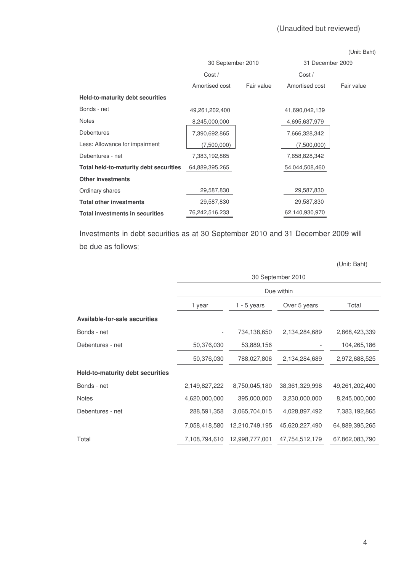# (Unaudited but reviewed)

| (Unit: Baht) |  |
|--------------|--|
|--------------|--|

|                                        | 30 September 2010 |            | 31 December 2009 |            |  |
|----------------------------------------|-------------------|------------|------------------|------------|--|
|                                        | Cost/             |            | Cost/            |            |  |
|                                        | Amortised cost    | Fair value | Amortised cost   | Fair value |  |
| Held-to-maturity debt securities       |                   |            |                  |            |  |
| Bonds - net                            | 49, 261, 202, 400 |            | 41,690,042,139   |            |  |
| <b>Notes</b>                           | 8,245,000,000     |            | 4,695,637,979    |            |  |
| <b>Debentures</b>                      | 7,390,692,865     |            | 7,666,328,342    |            |  |
| Less: Allowance for impairment         | (7,500,000)       |            | (7,500,000)      |            |  |
| Debentures - net                       | 7,383,192,865     |            | 7,658,828,342    |            |  |
| Total held-to-maturity debt securities | 64,889,395,265    |            | 54,044,508,460   |            |  |
| <b>Other investments</b>               |                   |            |                  |            |  |
| Ordinary shares                        | 29,587,830        |            | 29,587,830       |            |  |
| <b>Total other investments</b>         | 29,587,830        |            | 29,587,830       |            |  |
| <b>Total investments in securities</b> | 76,242,516,233    |            | 62,140,930,970   |            |  |

Investments in debt securities as at 30 September 2010 and 31 December 2009 will be due as follows

(Unit: Baht)

|                                         | 30 September 2010 |                |                   |                |  |  |  |
|-----------------------------------------|-------------------|----------------|-------------------|----------------|--|--|--|
|                                         |                   |                | Due within        |                |  |  |  |
|                                         | 1 year            | $1 - 5$ years  | Over 5 years      | Total          |  |  |  |
| <b>Available-for-sale securities</b>    |                   |                |                   |                |  |  |  |
| Bonds - net                             |                   | 734,138,650    | 2,134,284,689     | 2,868,423,339  |  |  |  |
| Debentures - net                        | 50,376,030        | 53,889,156     |                   | 104,265,186    |  |  |  |
|                                         | 50,376,030        | 788,027,806    | 2,134,284,689     | 2,972,688,525  |  |  |  |
| <b>Held-to-maturity debt securities</b> |                   |                |                   |                |  |  |  |
| Bonds - net                             | 2,149,827,222     | 8,750,045,180  | 38, 361, 329, 998 | 49,261,202,400 |  |  |  |
| <b>Notes</b>                            | 4,620,000,000     | 395,000,000    | 3,230,000,000     | 8,245,000,000  |  |  |  |
| Debentures - net                        | 288,591,358       | 3,065,704,015  | 4,028,897,492     | 7,383,192,865  |  |  |  |
|                                         | 7,058,418,580     | 12,210,749,195 | 45,620,227,490    | 64,889,395,265 |  |  |  |
| Total                                   | 7,108,794,610     | 12,998,777,001 | 47,754,512,179    | 67,862,083,790 |  |  |  |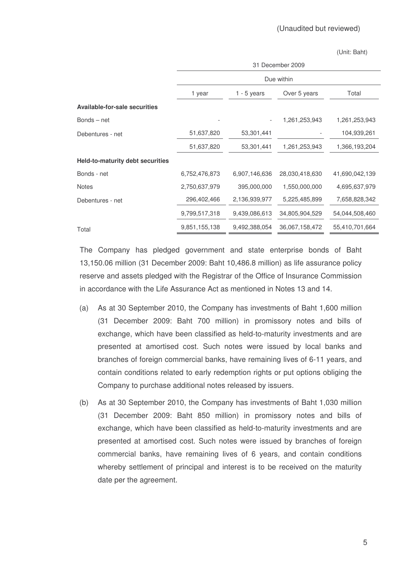|                                         | 31 December 2009 |               |                |                |  |  |  |
|-----------------------------------------|------------------|---------------|----------------|----------------|--|--|--|
|                                         |                  | Due within    |                |                |  |  |  |
|                                         | 1 year           | $1 - 5$ years | Over 5 years   | Total          |  |  |  |
| Available-for-sale securities           |                  |               |                |                |  |  |  |
| $Bonds - net$                           |                  |               | 1,261,253,943  | 1,261,253,943  |  |  |  |
| Debentures - net                        | 51,637,820       | 53,301,441    |                | 104,939,261    |  |  |  |
|                                         | 51,637,820       | 53,301,441    | 1,261,253,943  | 1,366,193,204  |  |  |  |
| <b>Held-to-maturity debt securities</b> |                  |               |                |                |  |  |  |
| Bonds - net                             | 6,752,476,873    | 6,907,146,636 | 28,030,418,630 | 41,690,042,139 |  |  |  |
| <b>Notes</b>                            | 2,750,637,979    | 395,000,000   | 1,550,000,000  | 4,695,637,979  |  |  |  |
| Debentures - net                        | 296,402,466      | 2,136,939,977 | 5,225,485,899  | 7,658,828,342  |  |  |  |
|                                         | 9,799,517,318    | 9,439,086,613 | 34,805,904,529 | 54,044,508,460 |  |  |  |
| Total                                   | 9,851,155,138    | 9,492,388,054 | 36,067,158,472 | 55,410,701,664 |  |  |  |

The Company has pledged government and state enterprise bonds of Baht 13,150.06 million (31 December 2009: Baht 10,486.8 million) as life assurance policy reserve and assets pledged with the Registrar of the Office of Insurance Commission in accordance with the Life Assurance Act as mentioned in Notes 13 and 14.

- (a) As at 30 September 2010, the Company has investments of Baht 1,600 million (31 December 2009: Baht 700 million) in promissory notes and bills of exchange, which have been classified as held-to-maturity investments and are presented at amortised cost. Such notes were issued by local banks and branches of foreign commercial banks, have remaining lives of 6-11 years, and contain conditions related to early redemption rights or put options obliging the Company to purchase additional notes released by issuers.
- (b) As at 30 September 2010, the Company has investments of Baht 1,030 million (31 December 2009: Baht 850 million) in promissory notes and bills of exchange, which have been classified as held-to-maturity investments and are presented at amortised cost. Such notes were issued by branches of foreign commercial banks, have remaining lives of 6 years, and contain conditions whereby settlement of principal and interest is to be received on the maturity date per the agreement.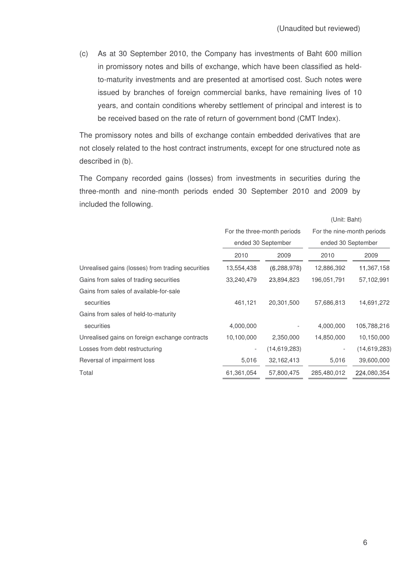(c) As at 30 September 2010, the Company has investments of Baht 600 million in promissory notes and bills of exchange, which have been classified as heldto-maturity investments and are presented at amortised cost. Such notes were issued by branches of foreign commercial banks, have remaining lives of 10 years, and contain conditions whereby settlement of principal and interest is to be received based on the rate of return of government bond (CMT Index).

The promissory notes and bills of exchange contain embedded derivatives that are not closely related to the host contract instruments, except for one structured note as described in (b).

The Company recorded gains (losses) from investments in securities during the three-month and nine-month periods ended 30 September 2010 and 2009 by included the following.

|                             |                | UUIIII. DaHU               |                |
|-----------------------------|----------------|----------------------------|----------------|
| For the three-month periods |                | For the nine-month periods |                |
|                             |                | ended 30 September         |                |
| 2010                        | 2009           | 2010                       | 2009           |
| 13,554,438                  | (6,288,978)    | 12,886,392                 | 11,367,158     |
| 33,240,479                  | 23,894,823     | 196,051,791                | 57,102,991     |
|                             |                |                            |                |
| 461,121                     | 20,301,500     | 57,686,813                 | 14,691,272     |
|                             |                |                            |                |
| 4,000,000                   |                | 4,000,000                  | 105,788,216    |
| 10,100,000                  | 2,350,000      | 14,850,000                 | 10,150,000     |
| $\overline{\phantom{a}}$    | (14, 619, 283) |                            | (14, 619, 283) |
| 5,016                       | 32,162,413     | 5,016                      | 39,600,000     |
| 61,361,054                  | 57,800,475     | 285,480,012                | 224,080,354    |
|                             |                | ended 30 September         |                |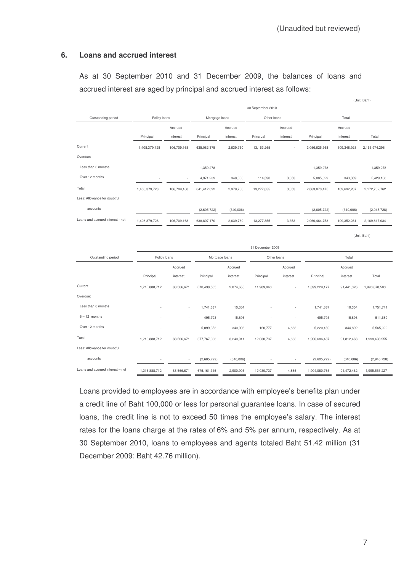### **6. Loans and accrued interest**

As at 30 September 2010 and 31 December 2009, the balances of loans and accrued interest are aged by principal and accrued interest as follows:

|                                  |                                |             |             |                               | 30 September 2010 |          |               |             |               |
|----------------------------------|--------------------------------|-------------|-------------|-------------------------------|-------------------|----------|---------------|-------------|---------------|
| Outstanding period               | Policy loans<br>Mortgage loans |             | Other loans |                               |                   | Total    |               |             |               |
|                                  |                                | Accrued     |             | Accrued                       |                   | Accrued  |               | Accrued     |               |
|                                  | Principal                      | interest    | Principal   | interest                      | Principal         | interest | Principal     | interest    | Total         |
| Current                          | 1,408,379,728                  | 106,709,168 | 635,082,375 | 2,639,760                     | 13,163,265        |          | 2,056,625,368 | 109,348,928 | 2,165,974,296 |
| Overdue:                         |                                |             |             |                               |                   |          |               |             |               |
| Less than 6 months               |                                |             | 1,359,278   |                               |                   |          | 1,359,278     |             | 1,359,278     |
| Over 12 months                   |                                |             | 4,971,239   | 340,006                       | 114,590           | 3,353    | 5,085,829     | 343,359     | 5,429,188     |
| Total                            | 1,408,379,728                  | 106,709,168 | 641,412,892 | 2,979,766                     | 13,277,855        | 3,353    | 2,063,070,475 | 109,692,287 | 2,172,762,762 |
| Less: Allowance for doubtful     |                                |             |             |                               |                   |          |               |             |               |
| accounts                         |                                |             | (2,605,722) | (340,006)                     |                   |          | (2,605,722)   | (340,006)   | (2,945,728)   |
| Loans and accrued interest - net | 1,408,379,728                  | 106,709,168 | 638,807,170 | 2,639,760                     | 13,277,855        | 3,353    | 2,060,464,753 | 109,352,281 | 2,169,817,034 |
|                                  |                                |             |             |                               |                   |          |               |             | (Unit: Baht)  |
|                                  |                                |             |             |                               |                   |          |               |             |               |
|                                  |                                |             |             |                               | 31 December 2009  |          |               |             |               |
| Outstanding period               | Policy loans                   |             |             | Mortgage loans<br>Other loans |                   |          | Total         |             |               |
|                                  |                                | Accrued     |             | Accrued                       |                   | Accrued  |               | Accrued     |               |
|                                  | Principal                      | interest    | Principal   | interest                      | Principal         | interest | Principal     | interest    | Total         |
| Current                          | 1,216,888,712                  | 88,566,671  | 670,430,505 | 2,874,655                     | 11,909,960        |          | 1,899,229,177 | 91,441,326  | 1,990,670,503 |
| Overdue:                         |                                |             |             |                               |                   |          |               |             |               |
| Less than 6 months               |                                |             | 1,741,387   | 10,354                        |                   |          | 1,741,387     | 10,354      | 1,751,741     |
| $6 - 12$ months                  |                                |             | 495,793     | 15,896                        |                   |          | 495,793       | 15,896      | 511,689       |
| Over 12 months                   | ٠                              |             | 5,099,353   | 340,006                       | 120,777           | 4,886    | 5,220,130     | 344,892     | 5,565,022     |
| Total                            | 1,216,888,712                  | 88,566,671  | 677,767,038 | 3,240,911                     | 12,030,737        | 4,886    | 1,906,686,487 | 91,812,468  | 1,998,498,955 |
| Less: Allowance for doubtful     |                                |             |             |                               |                   |          |               |             |               |
| accounts                         |                                |             | (2,605,722) | (340,006)                     |                   |          | (2,605,722)   | (340,006)   | (2,945,728)   |
|                                  |                                |             |             |                               |                   |          |               |             |               |

Loans provided to employees are in accordance with employee's benefits plan under a credit line of Baht 100,000 or less for personal guarantee loans. In case of secured loans, the credit line is not to exceed 50 times the employee's salary. The interest rates for the loans charge at the rates of 6% and 5% per annum, respectively. As at 30 September 2010, loans to employees and agents totaled Baht 51.42 million (31 December 2009: Baht 42.76 million).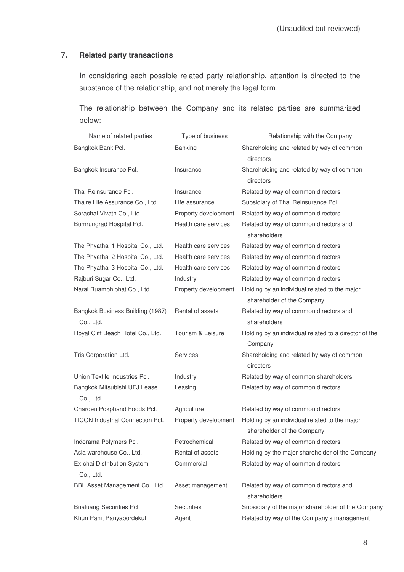# **7. Related party transactions**

In considering each possible related party relationship, attention is directed to the substance of the relationship, and not merely the legal form.

The relationship between the Company and its related parties are summarized below:

| Name of related parties                       | Type of business     | Relationship with the Company                                               |
|-----------------------------------------------|----------------------|-----------------------------------------------------------------------------|
| Bangkok Bank Pcl.                             | Banking              | Shareholding and related by way of common<br>directors                      |
| Bangkok Insurance Pcl.                        | Insurance            | Shareholding and related by way of common<br>directors                      |
| Thai Reinsurance Pcl.                         | Insurance            | Related by way of common directors                                          |
| Thaire Life Assurance Co., Ltd.               | Life assurance       | Subsidiary of Thai Reinsurance Pcl.                                         |
| Sorachai Vivatn Co., Ltd.                     | Property development | Related by way of common directors                                          |
| Bumrungrad Hospital Pcl.                      | Health care services | Related by way of common directors and<br>shareholders                      |
| The Phyathai 1 Hospital Co., Ltd.             | Health care services | Related by way of common directors                                          |
| The Phyathai 2 Hospital Co., Ltd.             | Health care services | Related by way of common directors                                          |
| The Phyathai 3 Hospital Co., Ltd.             | Health care services | Related by way of common directors                                          |
| Rajburi Sugar Co., Ltd.                       | Industry             | Related by way of common directors                                          |
| Narai Ruamphiphat Co., Ltd.                   | Property development | Holding by an individual related to the major<br>shareholder of the Company |
| Bangkok Business Building (1987)<br>Co., Ltd. | Rental of assets     | Related by way of common directors and<br>shareholders                      |
| Royal Cliff Beach Hotel Co., Ltd.             | Tourism & Leisure    | Holding by an individual related to a director of the<br>Company            |
| Tris Corporation Ltd.                         | Services             | Shareholding and related by way of common<br>directors                      |
| Union Textile Industries Pcl.                 | Industry             | Related by way of common shareholders                                       |
| Bangkok Mitsubishi UFJ Lease<br>Co., Ltd.     | Leasing              | Related by way of common directors                                          |
| Charoen Pokphand Foods Pcl.                   | Agriculture          | Related by way of common directors                                          |
| <b>TICON Industrial Connection Pcl.</b>       | Property development | Holding by an individual related to the major<br>shareholder of the Company |
| Indorama Polymers Pcl.                        | Petrochemical        | Related by way of common directors                                          |
| Asia warehouse Co., Ltd.                      | Rental of assets     | Holding by the major shareholder of the Company                             |
| Ex-chai Distribution System<br>Co., Ltd.      | Commercial           | Related by way of common directors                                          |
| BBL Asset Management Co., Ltd.                | Asset management     | Related by way of common directors and<br>shareholders                      |
| <b>Bualuang Securities Pcl.</b>               | Securities           | Subsidiary of the major shareholder of the Company                          |
| Khun Panit Panyabordekul                      | Agent                | Related by way of the Company's management                                  |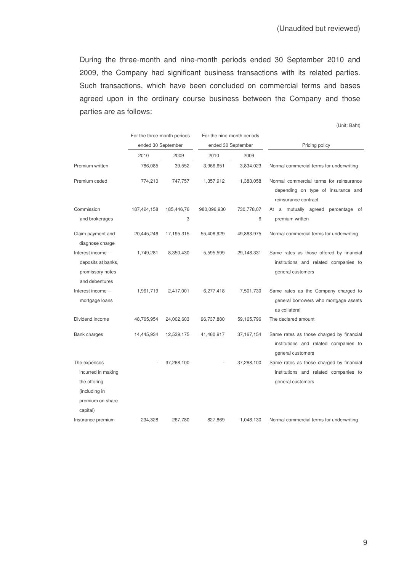During the three-month and nine-month periods ended 30 September 2010 and 2009, the Company had significant business transactions with its related parties. Such transactions, which have been concluded on commercial terms and bases agreed upon in the ordinary course business between the Company and those parties are as follows:

|                                                                                                     |             | For the three-month periods<br>ended 30 September |             | For the nine-month periods |                                                                                                        |
|-----------------------------------------------------------------------------------------------------|-------------|---------------------------------------------------|-------------|----------------------------|--------------------------------------------------------------------------------------------------------|
|                                                                                                     | 2010        | 2009                                              |             | ended 30 September<br>2009 | Pricing policy                                                                                         |
|                                                                                                     |             |                                                   | 2010        |                            |                                                                                                        |
| Premium written                                                                                     | 786,085     | 39,552                                            | 3,966,651   | 3,834,023                  | Normal commercial terms for underwriting                                                               |
| Premium ceded                                                                                       | 774,210     | 747,757                                           | 1,357,912   | 1,383,058                  | Normal commercial terms for reinsurance<br>depending on type of insurance and<br>reinsurance contract  |
| Commission                                                                                          | 187,424,158 | 185,446,76                                        | 980,096,930 | 730,778,07                 | At a mutually agreed<br>percentage of                                                                  |
| and brokerages                                                                                      |             | 3                                                 |             | 6                          | premium written                                                                                        |
| Claim payment and<br>diagnose charge                                                                | 20,445,246  | 17,195,315                                        | 55,406,929  | 49,863,975                 | Normal commercial terms for underwriting                                                               |
| Interest income -<br>deposits at banks,<br>promissory notes<br>and debentures                       | 1,749,281   | 8,350,430                                         | 5,595,599   | 29,148,331                 | Same rates as those offered by financial<br>institutions and related companies to<br>general customers |
| Interest income -<br>mortgage loans                                                                 | 1,961,719   | 2,417,001                                         | 6,277,418   | 7,501,730                  | Same rates as the Company charged to<br>general borrowers who mortgage assets<br>as collateral         |
| Dividend income                                                                                     | 48,765,954  | 24,002,603                                        | 96,737,880  | 59,165,796                 | The declared amount                                                                                    |
| <b>Bank charges</b>                                                                                 | 14,445,934  | 12,539,175                                        | 41,460,917  | 37,167,154                 | Same rates as those charged by financial<br>institutions and related companies to<br>general customers |
| The expenses<br>incurred in making<br>the offering<br>(including in<br>premium on share<br>capital) |             | 37,268,100                                        |             | 37,268,100                 | Same rates as those charged by financial<br>institutions and related companies to<br>general customers |
| Insurance premium                                                                                   | 234,328     | 267,780                                           | 827,869     | 1,048,130                  | Normal commercial terms for underwriting                                                               |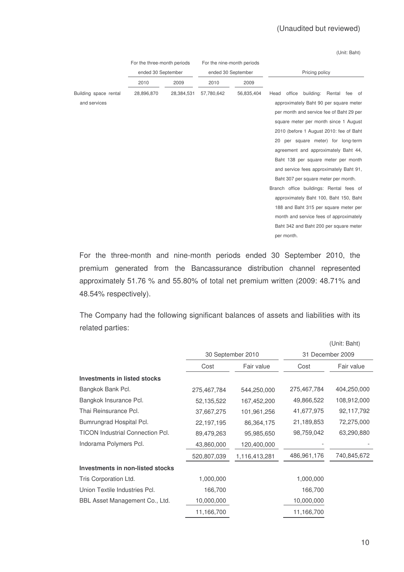# (Unaudited but reviewed)

(Unit: Baht)

|                       | For the three-month periods |                    | For the nine-month periods |                    |                                           |  |  |
|-----------------------|-----------------------------|--------------------|----------------------------|--------------------|-------------------------------------------|--|--|
|                       |                             | ended 30 September |                            | ended 30 September | Pricing policy                            |  |  |
|                       | 2010                        | 2009               | 2010                       | 2009               |                                           |  |  |
| Building space rental | 28,896,870                  | 28,384,531         | 57,780,642                 | 56,835,404         | building: Rental fee of<br>Head<br>office |  |  |
| and services          |                             |                    |                            |                    | approximately Baht 90 per square meter    |  |  |
|                       |                             |                    |                            |                    | per month and service fee of Baht 29 per  |  |  |
|                       |                             |                    |                            |                    | square meter per month since 1 August     |  |  |
|                       |                             |                    |                            |                    | 2010 (before 1 August 2010: fee of Baht   |  |  |
|                       |                             |                    |                            |                    | 20 per square meter) for long-term        |  |  |
|                       |                             |                    |                            |                    | agreement and approximately Baht 44,      |  |  |
|                       |                             |                    |                            |                    | Baht 138 per square meter per month       |  |  |
|                       |                             |                    |                            |                    | and service fees approximately Baht 91,   |  |  |
|                       |                             |                    |                            |                    | Baht 307 per square meter per month.      |  |  |
|                       |                             |                    |                            |                    | Branch office buildings: Rental fees of   |  |  |
|                       |                             |                    |                            |                    | approximately Baht 100, Baht 150, Baht    |  |  |
|                       |                             |                    |                            |                    | 188 and Baht 315 per square meter per     |  |  |
|                       |                             |                    |                            |                    | month and service fees of approximately   |  |  |
|                       |                             |                    |                            |                    | Baht 342 and Baht 200 per square meter    |  |  |
|                       |                             |                    |                            |                    | per month.                                |  |  |
|                       |                             |                    |                            |                    |                                           |  |  |

For the three-month and nine-month periods ended 30 September 2010, the premium generated from the Bancassurance distribution channel represented approximately 51.76 % and 55.80% of total net premium written (2009: 48.71% and 48.54% respectively).

The Company had the following significant balances of assets and liabilities with its related parties:

|                                         |                   |               |             | (Unit: Baht)     |  |
|-----------------------------------------|-------------------|---------------|-------------|------------------|--|
|                                         | 30 September 2010 |               |             | 31 December 2009 |  |
|                                         | Cost              | Fair value    | Cost        | Fair value       |  |
| <b>Investments in listed stocks</b>     |                   |               |             |                  |  |
| Bangkok Bank Pcl.                       | 275,467,784       | 544,250,000   | 275,467,784 | 404,250,000      |  |
| Bangkok Insurance Pcl.                  | 52,135,522        | 167,452,200   | 49,866,522  | 108,912,000      |  |
| Thai Reinsurance Pcl.                   | 37,667,275        | 101,961,256   | 41,677,975  | 92,117,792       |  |
| Bumrungrad Hospital Pcl.                | 22,197,195        | 86,364,175    | 21,189,853  | 72,275,000       |  |
| <b>TICON Industrial Connection Pcl.</b> | 89,479,263        | 95,985,650    | 98,759,042  | 63,290,880       |  |
| Indorama Polymers Pcl.                  | 43,860,000        | 120,400,000   |             |                  |  |
|                                         | 520,807,039       | 1,116,413,281 | 486,961,176 | 740,845,672      |  |
| Investments in non-listed stocks        |                   |               |             |                  |  |
| Tris Corporation Ltd.                   | 1,000,000         |               | 1,000,000   |                  |  |
| Union Textile Industries Pcl.           | 166,700           |               | 166,700     |                  |  |
| BBL Asset Management Co., Ltd.          | 10,000,000        |               | 10,000,000  |                  |  |
|                                         | 11,166,700        |               | 11,166,700  |                  |  |
|                                         |                   |               |             |                  |  |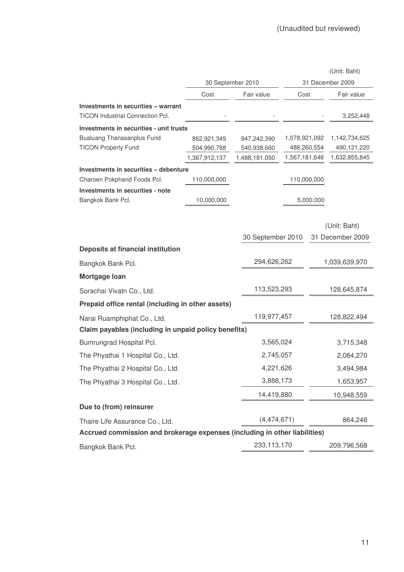|                                                                            |                   |                   |               |             | (Unit: Baht)     |
|----------------------------------------------------------------------------|-------------------|-------------------|---------------|-------------|------------------|
|                                                                            | 30 September 2010 |                   |               |             | 31 December 2009 |
|                                                                            | Cost              | Fair value        | Cost          |             | Fair value       |
| Investments in securities - warrant                                        |                   |                   |               |             |                  |
| <b>TICON Industrial Connection Pcl.</b>                                    |                   |                   |               |             | 3,252,448        |
| Investments in securities - unit trusts                                    |                   |                   |               |             |                  |
| <b>Bualuang Thanasanplus Fund</b>                                          | 862,921,349       | 947,242,390       | 1,078,921,092 |             | 1,142,734,625    |
| <b>TICON Property Fund</b>                                                 | 504,990,788       | 540,938,660       |               | 488,260,554 | 490,121,220      |
|                                                                            | 1,367,912,137     | 1,488,181,050     | 1,567,181,646 |             | 1,632,855,845    |
| Investments in securities - debenture<br>Charoen Pokphand Foods Pcl.       | 110,000,000       |                   |               | 110,000,000 |                  |
| Investments in securities - note                                           |                   |                   |               |             |                  |
| Bangkok Bank Pcl.                                                          | 10,000,000        |                   |               | 5,000,000   |                  |
|                                                                            |                   |                   |               |             |                  |
|                                                                            |                   |                   |               |             | (Unit: Baht)     |
|                                                                            |                   | 30 September 2010 |               |             | 31 December 2009 |
| Deposits at financial institution                                          |                   |                   |               |             |                  |
| Bangkok Bank Pcl.                                                          |                   | 294,626,262       |               |             | 1,039,639,970    |
| Mortgage Ioan                                                              |                   |                   |               |             |                  |
| Sorachai Vivatn Co., Ltd.                                                  |                   | 113,523,293       |               |             | 128,645,874      |
| Prepaid office rental (including in other assets)                          |                   |                   |               |             |                  |
| Narai Ruamphiphat Co., Ltd.                                                |                   | 119,977,457       |               |             | 128,822,494      |
| Claim payables (including in unpaid policy benefits)                       |                   |                   |               |             |                  |
| Bumrungrad Hospital Pcl.                                                   |                   | 3,565,024         |               |             | 3,715,348        |
| The Phyathai 1 Hospital Co., Ltd.                                          |                   | 2,745,057         |               |             | 2,084,270        |
| The Phyathai 2 Hospital Co., Ltd.                                          |                   | 4,221,626         |               |             | 3,494,984        |
| The Phyathai 3 Hospital Co., Ltd.                                          |                   | 3,888,173         |               |             | 1,653,957        |
|                                                                            |                   | 14,419,880        |               |             | 10,948,559       |
| Due to (from) reinsurer                                                    |                   |                   |               |             |                  |
| Thaire Life Assurance Co., Ltd.                                            |                   | (4,474,671)       |               |             | 864,248          |
| Accrued commission and brokerage expenses (including in other liabilities) |                   |                   |               |             |                  |
| Bangkok Bank Pcl.                                                          |                   | 233,113,170       |               |             | 209,796,568      |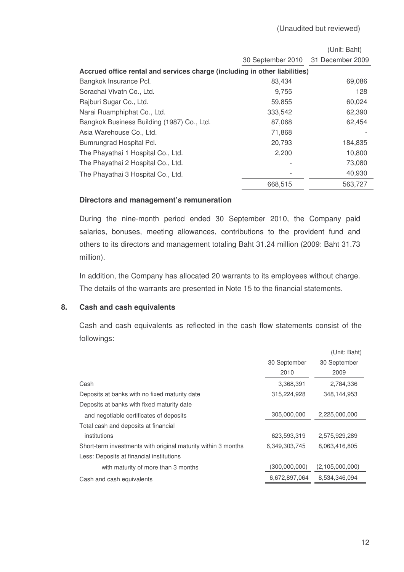|                                                                            |                   | (Unit: Baht)     |
|----------------------------------------------------------------------------|-------------------|------------------|
|                                                                            | 30 September 2010 | 31 December 2009 |
| Accrued office rental and services charge (including in other liabilities) |                   |                  |
| Bangkok Insurance Pcl.                                                     | 83,434            | 69,086           |
| Sorachai Vivatn Co., Ltd.                                                  | 9,755             | 128              |
| Rajburi Sugar Co., Ltd.                                                    | 59,855            | 60,024           |
| Narai Ruamphiphat Co., Ltd.                                                | 333,542           | 62,390           |
| Bangkok Business Building (1987) Co., Ltd.                                 | 87,068            | 62,454           |
| Asia Warehouse Co., Ltd.                                                   | 71,868            |                  |
| Bumrungrad Hospital Pcl.                                                   | 20,793            | 184,835          |
| The Phayathai 1 Hospital Co., Ltd.                                         | 2,200             | 10,800           |
| The Phayathai 2 Hospital Co., Ltd.                                         |                   | 73,080           |
| The Phayathai 3 Hospital Co., Ltd.                                         |                   | 40,930           |
|                                                                            | 668,515           | 563.727          |

#### **Directors and management's remuneration**

During the nine-month period ended 30 September 2010, the Company paid salaries, bonuses, meeting allowances, contributions to the provident fund and others to its directors and management totaling Baht 31.24 million (2009: Baht 31.73 million).

In addition, the Company has allocated 20 warrants to its employees without charge. The details of the warrants are presented in Note 15 to the financial statements.

#### **8. Cash and cash equivalents**

Cash and cash equivalents as reflected in the cash flow statements consist of the followings:

|                                                               |               | (Unit: Baht)    |
|---------------------------------------------------------------|---------------|-----------------|
|                                                               | 30 September  | 30 September    |
|                                                               | 2010          | 2009            |
| Cash                                                          | 3,368,391     | 2,784,336       |
| Deposits at banks with no fixed maturity date                 | 315,224,928   | 348,144,953     |
| Deposits at banks with fixed maturity date                    |               |                 |
| and negotiable certificates of deposits                       | 305,000,000   | 2,225,000,000   |
| Total cash and deposits at financial                          |               |                 |
| institutions                                                  | 623,593,319   | 2,575,929,289   |
| Short-term investments with original maturity within 3 months | 6,349,303,745 | 8,063,416,805   |
| Less: Deposits at financial institutions                      |               |                 |
| with maturity of more than 3 months                           | (300,000,000) | (2,105,000,000) |
| Cash and cash equivalents                                     | 6,672,897,064 | 8,534,346,094   |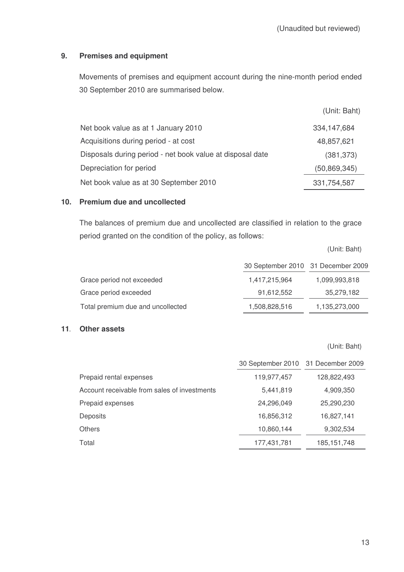# **9. Premises and equipment**

Movements of premises and equipment account during the nine-month period ended 30 September 2010 are summarised below.

|                                                           | (Unit: Baht)   |
|-----------------------------------------------------------|----------------|
| Net book value as at 1 January 2010                       | 334, 147, 684  |
| Acquisitions during period - at cost                      | 48,857,621     |
| Disposals during period - net book value at disposal date | (381, 373)     |
| Depreciation for period                                   | (50, 869, 345) |
| Net book value as at 30 September 2010                    | 331,754,587    |

# **10. Premium due and uncollected**

The balances of premium due and uncollected are classified in relation to the grace period granted on the condition of the policy, as follows:

(Unit: Baht)

|                                   | 30 September 2010 31 December 2009 |               |
|-----------------------------------|------------------------------------|---------------|
| Grace period not exceeded         | 1,417,215,964                      | 1,099,993,818 |
| Grace period exceeded             | 91,612,552                         | 35,279,182    |
| Total premium due and uncollected | 1,508,828,516                      | 1,135,273,000 |

### **11 Other assets**

(Unit: Baht)

|                                              | 30 September 2010 31 December 2009 |               |
|----------------------------------------------|------------------------------------|---------------|
| Prepaid rental expenses                      | 119,977,457                        | 128,822,493   |
| Account receivable from sales of investments | 5,441,819                          | 4,909,350     |
| Prepaid expenses                             | 24,296,049                         | 25,290,230    |
| Deposits                                     | 16,856,312                         | 16,827,141    |
| <b>Others</b>                                | 10,860,144                         | 9,302,534     |
| Total                                        | 177,431,781                        | 185, 151, 748 |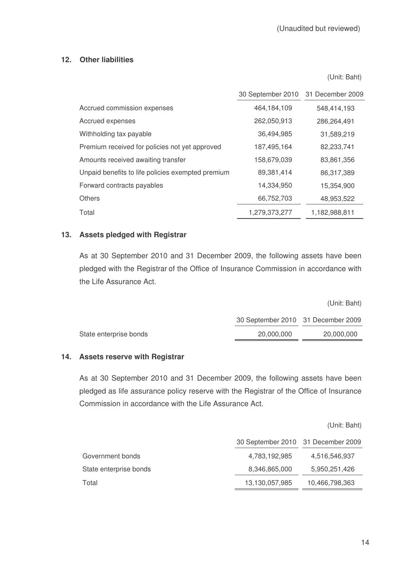# **12. Other liabilities**

(Unit: Baht)

|                                                   | 30 September 2010 | 31 December 2009 |
|---------------------------------------------------|-------------------|------------------|
| Accrued commission expenses                       | 464,184,109       | 548,414,193      |
| Accrued expenses                                  | 262,050,913       | 286,264,491      |
| Withholding tax payable                           | 36,494,985        | 31,589,219       |
| Premium received for policies not yet approved    | 187,495,164       | 82,233,741       |
| Amounts received awaiting transfer                | 158,679,039       | 83,861,356       |
| Unpaid benefits to life policies exempted premium | 89,381,414        | 86,317,389       |
| Forward contracts payables                        | 14,334,950        | 15,354,900       |
| <b>Others</b>                                     | 66,752,703        | 48,953,522       |
| Total                                             | 1,279,373,277     | 1,182,988,811    |

# **13. Assets pledged with Registrar**

As at 30 September 2010 and 31 December 2009, the following assets have been pledged with the Registrar of the Office of Insurance Commission in accordance with the Life Assurance Act.

|                        |                                    | (Unit: Baht) |
|------------------------|------------------------------------|--------------|
|                        | 30 September 2010 31 December 2009 |              |
| State enterprise bonds | 20,000,000                         | 20,000,000   |
|                        |                                    |              |

#### **14. Assets reserve with Registrar**

As at 30 September 2010 and 31 December 2009, the following assets have been pledged as life assurance policy reserve with the Registrar of the Office of Insurance Commission in accordance with the Life Assurance Act.

(Unit: Baht)

|                        | 30 September 2010 31 December 2009 |                |
|------------------------|------------------------------------|----------------|
| Government bonds       | 4,783,192,985                      | 4,516,546,937  |
| State enterprise bonds | 8,346,865,000                      | 5,950,251,426  |
| Total                  | 13,130,057,985                     | 10,466,798,363 |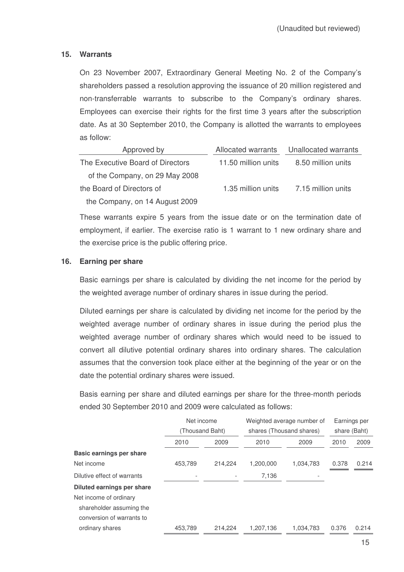# **15. Warrants**

On 23 November 2007, Extraordinary General Meeting No. 2 of the Company's shareholders passed a resolution approving the issuance of 20 million registered and non-transferrable warrants to subscribe to the Company's ordinary shares. Employees can exercise their rights for the first time 3 years after the subscription date. As at 30 September 2010, the Company is allotted the warrants to employees as follow:

| Approved by                      | Allocated warrants  | Unallocated warrants |
|----------------------------------|---------------------|----------------------|
| The Executive Board of Directors | 11.50 million units | 8.50 million units   |
| of the Company, on 29 May 2008   |                     |                      |
| the Board of Directors of        | 1.35 million units  | 7.15 million units   |
| the Company, on 14 August 2009   |                     |                      |

These warrants expire 5 years from the issue date or on the termination date of employment, if earlier. The exercise ratio is 1 warrant to 1 new ordinary share and the exercise price is the public offering price.

#### **16. Earning per share**

Basic earnings per share is calculated by dividing the net income for the period by the weighted average number of ordinary shares in issue during the period.

Diluted earnings per share is calculated by dividing net income for the period by the weighted average number of ordinary shares in issue during the period plus the weighted average number of ordinary shares which would need to be issued to convert all dilutive potential ordinary shares into ordinary shares. The calculation assumes that the conversion took place either at the beginning of the year or on the date the potential ordinary shares were issued.

Basis earning per share and diluted earnings per share for the three-month periods ended 30 September 2010 and 2009 were calculated as follows:

|                                 | Net income      |         |                          | Weighted average number of |              | Earnings per |
|---------------------------------|-----------------|---------|--------------------------|----------------------------|--------------|--------------|
|                                 | (Thousand Baht) |         | shares (Thousand shares) |                            | share (Baht) |              |
|                                 | 2010            | 2009    | 2010                     | 2009                       | 2010         | 2009         |
| <b>Basic earnings per share</b> |                 |         |                          |                            |              |              |
| Net income                      | 453,789         | 214.224 | 1.200.000                | 1,034,783                  | 0.378        | 0.214        |
| Dilutive effect of warrants     |                 |         | 7,136                    |                            |              |              |
| Diluted earnings per share      |                 |         |                          |                            |              |              |
| Net income of ordinary          |                 |         |                          |                            |              |              |
| shareholder assuming the        |                 |         |                          |                            |              |              |
| conversion of warrants to       |                 |         |                          |                            |              |              |
| ordinary shares                 | 453,789         | 214.224 | 1,207,136                | 1,034,783                  | 0.376        | 0.214        |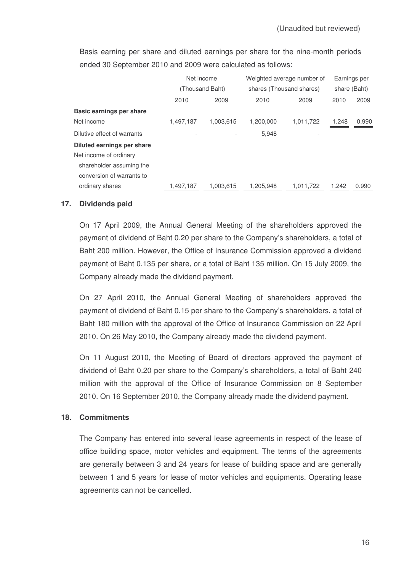|                             | Net income |                 |           | Weighted average number of | Earnings per |       |
|-----------------------------|------------|-----------------|-----------|----------------------------|--------------|-------|
|                             |            | (Thousand Baht) |           | shares (Thousand shares)   | share (Baht) |       |
|                             | 2010       | 2009            | 2010      | 2009                       | 2010         | 2009  |
| Basic earnings per share    |            |                 |           |                            |              |       |
| Net income                  | 1,497,187  | 1,003,615       | 1,200,000 | 1,011,722                  | 1.248        | 0.990 |
| Dilutive effect of warrants |            |                 | 5,948     |                            |              |       |
| Diluted earnings per share  |            |                 |           |                            |              |       |
| Net income of ordinary      |            |                 |           |                            |              |       |
| shareholder assuming the    |            |                 |           |                            |              |       |
| conversion of warrants to   |            |                 |           |                            |              |       |
| ordinary shares             | 1.497.187  | 1.003.615       | 1.205.948 | 1.011.722                  | 1.242        | 0.990 |

Basis earning per share and diluted earnings per share for the nine-month periods ended 30 September 2010 and 2009 were calculated as follows:

# **17. Dividends paid**

On 17 April 2009, the Annual General Meeting of the shareholders approved the payment of dividend of Baht 0.20 per share to the Company's shareholders, a total of Baht 200 million. However, the Office of Insurance Commission approved a dividend payment of Baht 0.135 per share, or a total of Baht 135 million. On 15 July 2009, the Company already made the dividend payment.

On 27 April 2010, the Annual General Meeting of shareholders approved the payment of dividend of Baht 0.15 per share to the Company's shareholders, a total of Baht 180 million with the approval of the Office of Insurance Commission on 22 April 2010. On 26 May 2010, the Company already made the dividend payment.

On 11 August 2010, the Meeting of Board of directors approved the payment of dividend of Baht 0.20 per share to the Company's shareholders, a total of Baht 240 million with the approval of the Office of Insurance Commission on 8 September 2010. On 16 September 2010, the Company already made the dividend payment.

#### **18. Commitments**

The Company has entered into several lease agreements in respect of the lease of office building space, motor vehicles and equipment. The terms of the agreements are generally between 3 and 24 years for lease of building space and are generally between 1 and 5 years for lease of motor vehicles and equipments. Operating lease agreements can not be cancelled.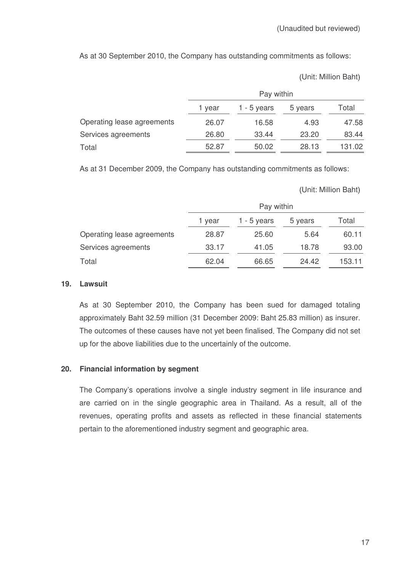As at 30 September 2010, the Company has outstanding commitments as follows:

Unit: Million Baht

|                            | Pay within |             |         |        |
|----------------------------|------------|-------------|---------|--------|
|                            | 1 vear     | 1 - 5 years | 5 years | Total  |
| Operating lease agreements | 26.07      | 16.58       | 4.93    | 47.58  |
| Services agreements        | 26.80      | 33.44       | 23.20   | 83.44  |
| Total                      | 52.87      | 50.02       | 28.13   | 131.02 |

As at 31 December 2009, the Company has outstanding commitments as follows:

Unit: Million Baht

|                            | Pay within |             |         |        |
|----------------------------|------------|-------------|---------|--------|
|                            | 1 vear     | 1 - 5 years | 5 years | Total  |
| Operating lease agreements | 28.87      | 25.60       | 5.64    | 60.11  |
| Services agreements        | 33.17      | 41.05       | 18.78   | 93.00  |
| Total                      | 62.04      | 66.65       | 24.42   | 153.11 |

### **19. Lawsuit**

As at 30 September 2010, the Company has been sued for damaged totaling approximately Baht 32.59 million (31 December 2009: Baht 25.83 million) as insurer. The outcomes of these causes have not yet been finalised. The Company did not set up for the above liabilities due to the uncertainly of the outcome.

# **20. Financial information by segment**

The Company's operations involve a single industry segment in life insurance and are carried on in the single geographic area in Thailand. As a result, all of the revenues, operating profits and assets as reflected in these financial statements pertain to the aforementioned industry segment and geographic area.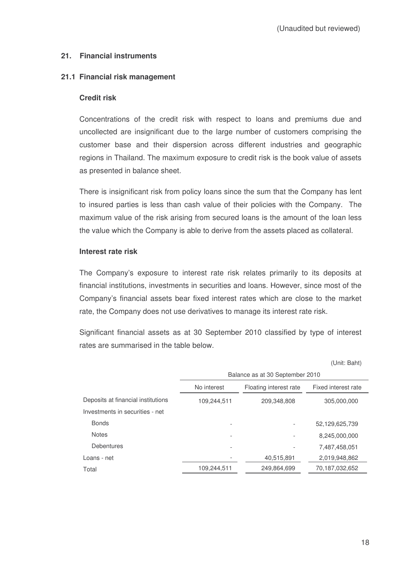# **21. Financial instruments**

### **21.1 Financial risk management**

#### **Credit risk**

Concentrations of the credit risk with respect to loans and premiums due and uncollected are insignificant due to the large number of customers comprising the customer base and their dispersion across different industries and geographic regions in Thailand. The maximum exposure to credit risk is the book value of assets as presented in balance sheet.

There is insignificant risk from policy loans since the sum that the Company has lent to insured parties is less than cash value of their policies with the Company. The maximum value of the risk arising from secured loans is the amount of the loan less the value which the Company is able to derive from the assets placed as collateral.

#### **Interest rate risk**

The Company's exposure to interest rate risk relates primarily to its deposits at financial institutions, investments in securities and loans. However, since most of the Company's financial assets bear fixed interest rates which are close to the market rate, the Company does not use derivatives to manage its interest rate risk.

Significant financial assets as at 30 September 2010 classified by type of interest rates are summarised in the table below.

|                                    |                                                              |             | 、∪… ∟u…        |  |  |
|------------------------------------|--------------------------------------------------------------|-------------|----------------|--|--|
|                                    | Balance as at 30 September 2010                              |             |                |  |  |
|                                    | No interest<br>Floating interest rate<br>Fixed interest rate |             |                |  |  |
| Deposits at financial institutions | 109,244,511                                                  | 209,348,808 | 305,000,000    |  |  |
| Investments in securities - net    |                                                              |             |                |  |  |
| <b>Bonds</b>                       |                                                              |             | 52,129,625,739 |  |  |
| <b>Notes</b>                       |                                                              |             | 8,245,000,000  |  |  |
| <b>Debentures</b>                  |                                                              |             | 7,487,458,051  |  |  |
| Loans - net                        |                                                              | 40,515,891  | 2,019,948,862  |  |  |
| Total                              | 109,244,511                                                  | 249,864,699 | 70,187,032,652 |  |  |

(Unit: Baht)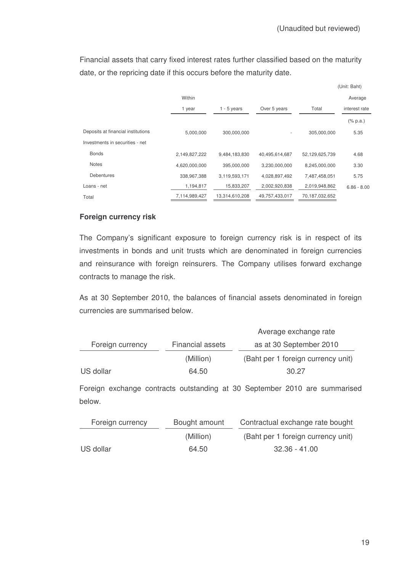Financial assets that carry fixed interest rates further classified based on the maturity date, or the repricing date if this occurs before the maturity date.

|                                    |               |                |                          |                | (Unit: Baht)                |
|------------------------------------|---------------|----------------|--------------------------|----------------|-----------------------------|
|                                    | Within        |                |                          |                | Average                     |
|                                    | 1 year        | $1 - 5$ years  | Over 5 years             | Total          | interest rate               |
|                                    |               |                |                          |                | $(% \mathbb{R}^2)$ (% p.a.) |
| Deposits at financial institutions | 5,000,000     | 300,000,000    | $\overline{\phantom{a}}$ | 305,000,000    | 5.35                        |
| Investments in securities - net    |               |                |                          |                |                             |
| <b>Bonds</b>                       | 2,149,827,222 | 9,484,183,830  | 40,495,614,687           | 52,129,625,739 | 4.68                        |
| <b>Notes</b>                       | 4,620,000,000 | 395,000,000    | 3,230,000,000            | 8,245,000,000  | 3.30                        |
| <b>Debentures</b>                  | 338,967,388   | 3,119,593,171  | 4,028,897,492            | 7,487,458,051  | 5.75                        |
| Loans - net                        | 1,194,817     | 15,833,207     | 2,002,920,838            | 2,019,948,862  | $6.86 - 8.00$               |
| Total                              | 7,114,989,427 | 13,314,610,208 | 49,757,433,017           | 70,187,032,652 |                             |

# **Foreign currency risk**

The Company's significant exposure to foreign currency risk is in respect of its investments in bonds and unit trusts which are denominated in foreign currencies and reinsurance with foreign reinsurers. The Company utilises forward exchange contracts to manage the risk.

As at 30 September 2010, the balances of financial assets denominated in foreign currencies are summarised below.

|                  |                         | Average exchange rate              |
|------------------|-------------------------|------------------------------------|
| Foreign currency | <b>Financial assets</b> | as at 30 September 2010            |
|                  | (Million)               | (Baht per 1 foreign currency unit) |
| US dollar        | 64.50                   | 30.27                              |

Foreign exchange contracts outstanding at 30 September 2010 are summarised below.

| Foreign currency | Bought amount | Contractual exchange rate bought   |
|------------------|---------------|------------------------------------|
|                  | (Million)     | (Baht per 1 foreign currency unit) |
| US dollar        | 64.50         | $32.36 - 41.00$                    |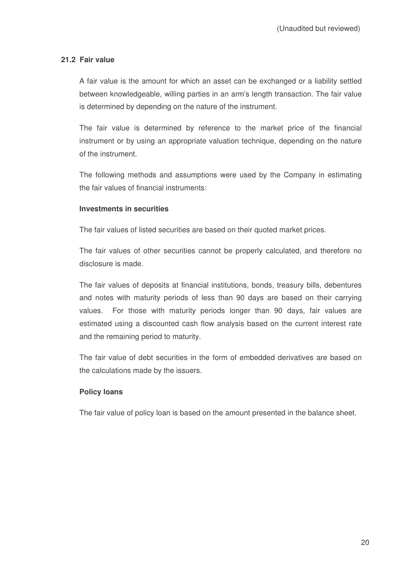# **21.2 Fair value**

A fair value is the amount for which an asset can be exchanged or a liability settled between knowledgeable, willing parties in an arm's length transaction. The fair value is determined by depending on the nature of the instrument.

The fair value is determined by reference to the market price of the financial instrument or by using an appropriate valuation technique, depending on the nature of the instrument.

The following methods and assumptions were used by the Company in estimating the fair values of financial instruments:

#### **Investments in securities**

The fair values of listed securities are based on their quoted market prices.

The fair values of other securities cannot be properly calculated, and therefore no disclosure is made.

The fair values of deposits at financial institutions, bonds, treasury bills, debentures and notes with maturity periods of less than 90 days are based on their carrying values. For those with maturity periods longer than 90 days, fair values are estimated using a discounted cash flow analysis based on the current interest rate and the remaining period to maturity.

The fair value of debt securities in the form of embedded derivatives are based on the calculations made by the issuers.

#### **Policy loans**

The fair value of policy loan is based on the amount presented in the balance sheet.